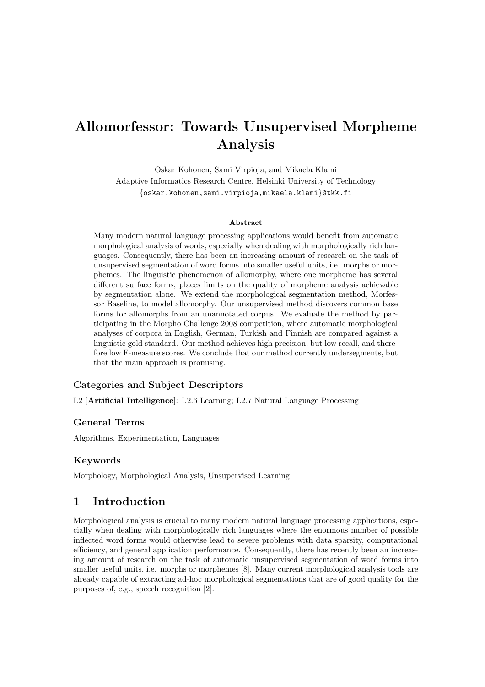# Allomorfessor: Towards Unsupervised Morpheme Analysis

Oskar Kohonen, Sami Virpioja, and Mikaela Klami Adaptive Informatics Research Centre, Helsinki University of Technology {oskar.kohonen,sami.virpioja,mikaela.klami}@tkk.fi

#### Abstract

Many modern natural language processing applications would benefit from automatic morphological analysis of words, especially when dealing with morphologically rich languages. Consequently, there has been an increasing amount of research on the task of unsupervised segmentation of word forms into smaller useful units, i.e. morphs or morphemes. The linguistic phenomenon of allomorphy, where one morpheme has several different surface forms, places limits on the quality of morpheme analysis achievable by segmentation alone. We extend the morphological segmentation method, Morfessor Baseline, to model allomorphy. Our unsupervised method discovers common base forms for allomorphs from an unannotated corpus. We evaluate the method by participating in the Morpho Challenge 2008 competition, where automatic morphological analyses of corpora in English, German, Turkish and Finnish are compared against a linguistic gold standard. Our method achieves high precision, but low recall, and therefore low F-measure scores. We conclude that our method currently undersegments, but that the main approach is promising.

# Categories and Subject Descriptors

I.2 [Artificial Intelligence]: I.2.6 Learning; I.2.7 Natural Language Processing

### General Terms

Algorithms, Experimentation, Languages

# Keywords

Morphology, Morphological Analysis, Unsupervised Learning

# 1 Introduction

Morphological analysis is crucial to many modern natural language processing applications, especially when dealing with morphologically rich languages where the enormous number of possible inflected word forms would otherwise lead to severe problems with data sparsity, computational efficiency, and general application performance. Consequently, there has recently been an increasing amount of research on the task of automatic unsupervised segmentation of word forms into smaller useful units, i.e. morphs or morphemes [8]. Many current morphological analysis tools are already capable of extracting ad-hoc morphological segmentations that are of good quality for the purposes of, e.g., speech recognition [2].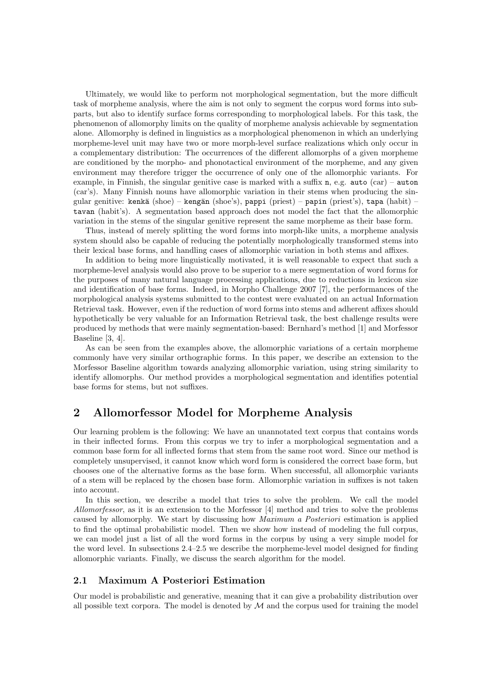Ultimately, we would like to perform not morphological segmentation, but the more difficult task of morpheme analysis, where the aim is not only to segment the corpus word forms into subparts, but also to identify surface forms corresponding to morphological labels. For this task, the phenomenon of allomorphy limits on the quality of morpheme analysis achievable by segmentation alone. Allomorphy is defined in linguistics as a morphological phenomenon in which an underlying morpheme-level unit may have two or more morph-level surface realizations which only occur in a complementary distribution: The occurrences of the different allomorphs of a given morpheme are conditioned by the morpho- and phonotactical environment of the morpheme, and any given environment may therefore trigger the occurrence of only one of the allomorphic variants. For example, in Finnish, the singular genitive case is marked with a suffix  $n$ , e.g. auto (car) – auton (car's). Many Finnish nouns have allomorphic variation in their stems when producing the singular genitive: kenkä (shoe) – kengän (shoe's), pappi (priest) – papin (priest's), tapa (habit) – tavan (habit's). A segmentation based approach does not model the fact that the allomorphic variation in the stems of the singular genitive represent the same morpheme as their base form.

Thus, instead of merely splitting the word forms into morph-like units, a morpheme analysis system should also be capable of reducing the potentially morphologically transformed stems into their lexical base forms, and handling cases of allomorphic variation in both stems and affixes.

In addition to being more linguistically motivated, it is well reasonable to expect that such a morpheme-level analysis would also prove to be superior to a mere segmentation of word forms for the purposes of many natural language processing applications, due to reductions in lexicon size and identification of base forms. Indeed, in Morpho Challenge 2007 [7], the performances of the morphological analysis systems submitted to the contest were evaluated on an actual Information Retrieval task. However, even if the reduction of word forms into stems and adherent affixes should hypothetically be very valuable for an Information Retrieval task, the best challenge results were produced by methods that were mainly segmentation-based: Bernhard's method [1] and Morfessor Baseline [3, 4].

As can be seen from the examples above, the allomorphic variations of a certain morpheme commonly have very similar orthographic forms. In this paper, we describe an extension to the Morfessor Baseline algorithm towards analyzing allomorphic variation, using string similarity to identify allomorphs. Our method provides a morphological segmentation and identifies potential base forms for stems, but not suffixes.

# 2 Allomorfessor Model for Morpheme Analysis

Our learning problem is the following: We have an unannotated text corpus that contains words in their inflected forms. From this corpus we try to infer a morphological segmentation and a common base form for all inflected forms that stem from the same root word. Since our method is completely unsupervised, it cannot know which word form is considered the correct base form, but chooses one of the alternative forms as the base form. When successful, all allomorphic variants of a stem will be replaced by the chosen base form. Allomorphic variation in suffixes is not taken into account.

In this section, we describe a model that tries to solve the problem. We call the model Allomorfessor, as it is an extension to the Morfessor [4] method and tries to solve the problems caused by allomorphy. We start by discussing how Maximum a Posteriori estimation is applied to find the optimal probabilistic model. Then we show how instead of modeling the full corpus, we can model just a list of all the word forms in the corpus by using a very simple model for the word level. In subsections 2.4–2.5 we describe the morpheme-level model designed for finding allomorphic variants. Finally, we discuss the search algorithm for the model.

### 2.1 Maximum A Posteriori Estimation

Our model is probabilistic and generative, meaning that it can give a probability distribution over all possible text corpora. The model is denoted by  $M$  and the corpus used for training the model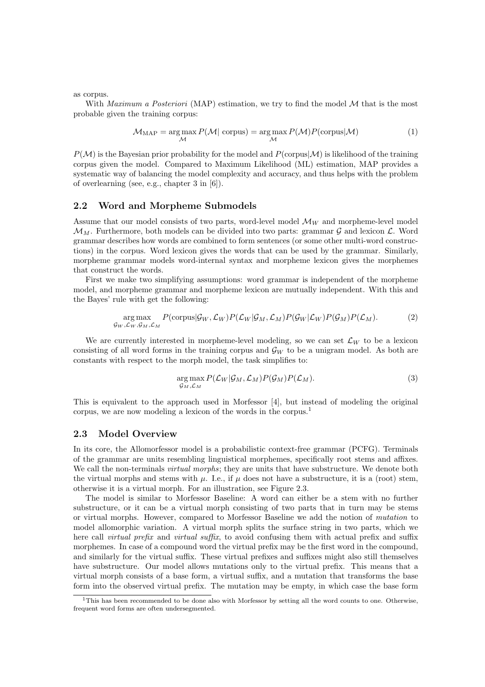as corpus.

With *Maximum a Posteriori* (MAP) estimation, we try to find the model  $M$  that is the most probable given the training corpus:

$$
M_{\text{MAP}} = \underset{\mathcal{M}}{\arg \max} P(\mathcal{M}|\text{ corpus}) = \underset{\mathcal{M}}{\arg \max} P(\mathcal{M})P(\text{corpus}|\mathcal{M})
$$
(1)

 $P(\mathcal{M})$  is the Bayesian prior probability for the model and  $P(\text{corpus}|\mathcal{M})$  is likelihood of the training corpus given the model. Compared to Maximum Likelihood (ML) estimation, MAP provides a systematic way of balancing the model complexity and accuracy, and thus helps with the problem of overlearning (see, e.g., chapter 3 in [6]).

#### 2.2 Word and Morpheme Submodels

Assume that our model consists of two parts, word-level model  $\mathcal{M}_W$  and morpheme-level model  $\mathcal{M}_M$ . Furthermore, both models can be divided into two parts: grammar G and lexicon L. Word grammar describes how words are combined to form sentences (or some other multi-word constructions) in the corpus. Word lexicon gives the words that can be used by the grammar. Similarly, morpheme grammar models word-internal syntax and morpheme lexicon gives the morphemes that construct the words.

First we make two simplifying assumptions: word grammar is independent of the morpheme model, and morpheme grammar and morpheme lexicon are mutually independent. With this and the Bayes' rule with get the following:

$$
\underset{\mathcal{G}_{W},\mathcal{L}_{W},\mathcal{G}_{M},\mathcal{L}_{M}}{\arg \max} P(\text{corpus}|\mathcal{G}_{W},\mathcal{L}_{W}) P(\mathcal{L}_{W}|\mathcal{G}_{M},\mathcal{L}_{M}) P(\mathcal{G}_{W}|\mathcal{L}_{W}) P(\mathcal{G}_{M}) P(\mathcal{L}_{M}). \tag{2}
$$

We are currently interested in morpheme-level modeling, so we can set  $\mathcal{L}_W$  to be a lexicon consisting of all word forms in the training corpus and  $\mathcal{G}_W$  to be a unigram model. As both are constants with respect to the morph model, the task simplifies to:

$$
\underset{\mathcal{G}_M,\mathcal{L}_M}{\arg \max} P(\mathcal{L}_W | \mathcal{G}_M, \mathcal{L}_M) P(\mathcal{G}_M) P(\mathcal{L}_M). \tag{3}
$$

This is equivalent to the approach used in Morfessor [4], but instead of modeling the original corpus, we are now modeling a lexicon of the words in the corpus.<sup>1</sup>

## 2.3 Model Overview

In its core, the Allomorfessor model is a probabilistic context-free grammar (PCFG). Terminals of the grammar are units resembling linguistical morphemes, specifically root stems and affixes. We call the non-terminals *virtual morphs*; they are units that have substructure. We denote both the virtual morphs and stems with  $\mu$ . I.e., if  $\mu$  does not have a substructure, it is a (root) stem, otherwise it is a virtual morph. For an illustration, see Figure 2.3.

The model is similar to Morfessor Baseline: A word can either be a stem with no further substructure, or it can be a virtual morph consisting of two parts that in turn may be stems or virtual morphs. However, compared to Morfessor Baseline we add the notion of mutation to model allomorphic variation. A virtual morph splits the surface string in two parts, which we here call *virtual prefix* and *virtual suffix*, to avoid confusing them with actual prefix and suffix morphemes. In case of a compound word the virtual prefix may be the first word in the compound, and similarly for the virtual suffix. These virtual prefixes and suffixes might also still themselves have substructure. Our model allows mutations only to the virtual prefix. This means that a virtual morph consists of a base form, a virtual suffix, and a mutation that transforms the base form into the observed virtual prefix. The mutation may be empty, in which case the base form

 $1$ This has been recommended to be done also with Morfessor by setting all the word counts to one. Otherwise, frequent word forms are often undersegmented.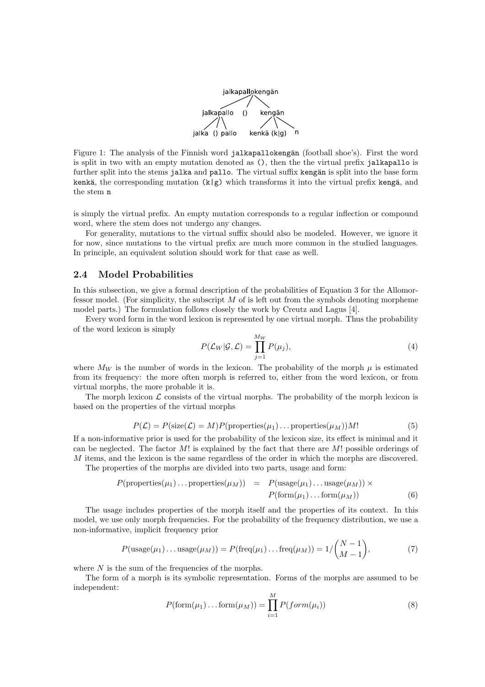

Figure 1: The analysis of the Finnish word jalkapallokengän (football shoe's). First the word is split in two with an empty mutation denoted as (), then the the virtual prefix jalkapallo is further split into the stems jalka and pallo. The virtual suffix kengän is split into the base form kenkä, the corresponding mutation  $(k|g)$  which transforms it into the virtual prefix kengä, and the stem n

is simply the virtual prefix. An empty mutation corresponds to a regular inflection or compound word, where the stem does not undergo any changes.

For generality, mutations to the virtual suffix should also be modeled. However, we ignore it for now, since mutations to the virtual prefix are much more common in the studied languages. In principle, an equivalent solution should work for that case as well.

#### 2.4 Model Probabilities

In this subsection, we give a formal description of the probabilities of Equation 3 for the Allomorfessor model. (For simplicity, the subscript  $M$  of is left out from the symbols denoting morpheme model parts.) The formulation follows closely the work by Creutz and Lagus [4].

Every word form in the word lexicon is represented by one virtual morph. Thus the probability of the word lexicon is simply

$$
P(\mathcal{L}_W|\mathcal{G}, \mathcal{L}) = \prod_{j=1}^{M_W} P(\mu_j),
$$
\n(4)

where  $M_W$  is the number of words in the lexicon. The probability of the morph  $\mu$  is estimated from its frequency: the more often morph is referred to, either from the word lexicon, or from virtual morphs, the more probable it is.

The morph lexicon  $\mathcal L$  consists of the virtual morphs. The probability of the morph lexicon is based on the properties of the virtual morphs

$$
P(\mathcal{L}) = P(\text{size}(\mathcal{L}) = M)P(\text{properties}(\mu_1) \dots \text{properties}(\mu_M))M!
$$
\n(5)

If a non-informative prior is used for the probability of the lexicon size, its effect is minimal and it can be neglected. The factor  $M!$  is explained by the fact that there are  $M!$  possible orderings of M items, and the lexicon is the same regardless of the order in which the morphs are discovered.

The properties of the morphs are divided into two parts, usage and form:

$$
P(\text{properties}(\mu_1)\dots\text{properties}(\mu_M)) = P(\text{usage}(\mu_1)\dots\text{usage}(\mu_M)) \times P(\text{form}(\mu_1)\dots\text{form}(\mu_M))
$$
(6)

The usage includes properties of the morph itself and the properties of its context. In this model, we use only morph frequencies. For the probability of the frequency distribution, we use a non-informative, implicit frequency prior

$$
P(\text{usage}(\mu_1)\dots\text{usage}(\mu_M)) = P(\text{freq}(\mu_1)\dots\text{freq}(\mu_M)) = 1/\binom{N-1}{M-1},\tag{7}
$$

where N is the sum of the frequencies of the morphs.

The form of a morph is its symbolic representation. Forms of the morphs are assumed to be independent:

$$
P(\text{form}(\mu_1)\dots\text{form}(\mu_M)) = \prod_{i=1}^{M} P(form(\mu_i))
$$
\n(8)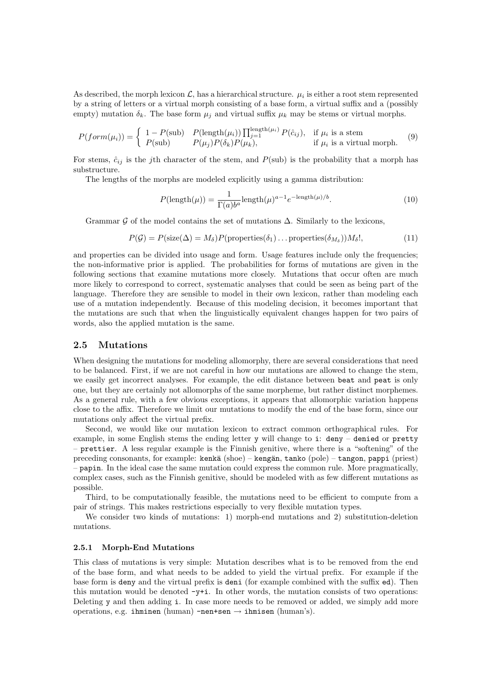As described, the morph lexicon  $\mathcal{L}$ , has a hierarchical structure.  $\mu_i$  is either a root stem represented by a string of letters or a virtual morph consisting of a base form, a virtual suffix and a (possibly empty) mutation  $\delta_k$ . The base form  $\mu_i$  and virtual suffix  $\mu_k$  may be stems or virtual morphs.

$$
P(form(\mu_i)) = \begin{cases} 1 - P(\text{sub}) & P(\text{length}(\mu_i)) \prod_{j=1}^{\text{length}(\mu_i)} P(\hat{c}_{ij}), & \text{if } \mu_i \text{ is a stem} \\ P(\text{sub}) & P(\mu_j) P(\delta_k) P(\mu_k), & \text{if } \mu_i \text{ is a virtual morph.} \end{cases}
$$
(9)

For stems,  $\hat{c}_{ij}$  is the jth character of the stem, and  $P(\text{sub})$  is the probability that a morph has substructure.

The lengths of the morphs are modeled explicitly using a gamma distribution:

$$
P(\text{length}(\mu)) = \frac{1}{\Gamma(a)b^a} \text{length}(\mu)^{a-1} e^{-\text{length}(\mu)/b}.
$$
 (10)

Grammar G of the model contains the set of mutations  $\Delta$ . Similarly to the lexicons,

$$
P(\mathcal{G}) = P(\text{size}(\Delta) = M_{\delta}) P(\text{properties}(\delta_1) \dots \text{properties}(\delta_{M_{\delta}})) M_{\delta}!,
$$
\n(11)

and properties can be divided into usage and form. Usage features include only the frequencies; the non-informative prior is applied. The probabilities for forms of mutations are given in the following sections that examine mutations more closely. Mutations that occur often are much more likely to correspond to correct, systematic analyses that could be seen as being part of the language. Therefore they are sensible to model in their own lexicon, rather than modeling each use of a mutation independently. Because of this modeling decision, it becomes important that the mutations are such that when the linguistically equivalent changes happen for two pairs of words, also the applied mutation is the same.

#### 2.5 Mutations

When designing the mutations for modeling allomorphy, there are several considerations that need to be balanced. First, if we are not careful in how our mutations are allowed to change the stem, we easily get incorrect analyses. For example, the edit distance between beat and peat is only one, but they are certainly not allomorphs of the same morpheme, but rather distinct morphemes. As a general rule, with a few obvious exceptions, it appears that allomorphic variation happens close to the affix. Therefore we limit our mutations to modify the end of the base form, since our mutations only affect the virtual prefix.

Second, we would like our mutation lexicon to extract common orthographical rules. For example, in some English stems the ending letter y will change to i: deny – denied or pretty – prettier. A less regular example is the Finnish genitive, where there is a "softening" of the preceding consonants, for example: kenkä (shoe) – kengän, tanko (pole) – tangon, pappi (priest) – papin. In the ideal case the same mutation could express the common rule. More pragmatically, complex cases, such as the Finnish genitive, should be modeled with as few different mutations as possible.

Third, to be computationally feasible, the mutations need to be efficient to compute from a pair of strings. This makes restrictions especially to very flexible mutation types.

We consider two kinds of mutations: 1) morph-end mutations and 2) substitution-deletion mutations.

#### 2.5.1 Morph-End Mutations

This class of mutations is very simple: Mutation describes what is to be removed from the end of the base form, and what needs to be added to yield the virtual prefix. For example if the base form is deny and the virtual prefix is deni (for example combined with the suffix ed). Then this mutation would be denoted  $-y+i$ . In other words, the mutation consists of two operations: Deleting y and then adding i. In case more needs to be removed or added, we simply add more operations, e.g. ihminen (human) -nen+sen  $\rightarrow$  ihmisen (human's).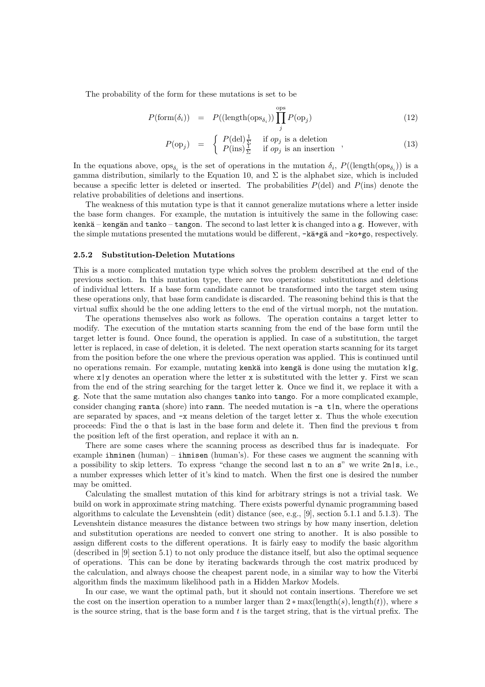The probability of the form for these mutations is set to be

$$
P(\text{form}(\delta_i)) = P((\text{length}(\text{ops}_{\delta_i})) \prod_j^{\text{ops}} P(\text{op}_j)
$$
(12)

$$
P(\text{op}_j) = \begin{cases} P(\text{del}) \frac{1}{\Sigma} & \text{if } op_j \text{ is a deletion} \\ P(\text{ins}) \frac{1}{\Sigma} & \text{if } op_j \text{ is an insertion} \end{cases}, \tag{13}
$$

In the equations above,  $ops_{\delta_i}$  is the set of operations in the mutation  $\delta_i$ ,  $P((\text{length}(ops_{\delta_i}))$  is a gamma distribution, similarly to the Equation 10, and  $\Sigma$  is the alphabet size, which is included because a specific letter is deleted or inserted. The probabilities  $P(\text{del})$  and  $P(\text{ins})$  denote the relative probabilities of deletions and insertions.

The weakness of this mutation type is that it cannot generalize mutations where a letter inside the base form changes. For example, the mutation is intuitively the same in the following case: kenkä – kengän and tanko – tangon. The second to last letter k is changed into a g. However, with the simple mutations presented the mutations would be different,  $-k\ddot{a}+\dot{g}\ddot{a}$  and  $-ko+g\ddot{o}$ , respectively.

#### 2.5.2 Substitution-Deletion Mutations

This is a more complicated mutation type which solves the problem described at the end of the previous section. In this mutation type, there are two operations: substitutions and deletions of individual letters. If a base form candidate cannot be transformed into the target stem using these operations only, that base form candidate is discarded. The reasoning behind this is that the virtual suffix should be the one adding letters to the end of the virtual morph, not the mutation.

The operations themselves also work as follows. The operation contains a target letter to modify. The execution of the mutation starts scanning from the end of the base form until the target letter is found. Once found, the operation is applied. In case of a substitution, the target letter is replaced, in case of deletion, it is deleted. The next operation starts scanning for its target from the position before the one where the previous operation was applied. This is continued until no operations remain. For example, mutating kenkä into kengä is done using the mutation  $k|g$ , where  $x|y$  denotes an operation where the letter x is substituted with the letter y. First we scan from the end of the string searching for the target letter k. Once we find it, we replace it with a g. Note that the same mutation also changes tanko into tango. For a more complicated example, consider changing ranta (shore) into rann. The needed mutation is  $-a t|n$ , where the operations are separated by spaces, and  $-x$  means deletion of the target letter x. Thus the whole execution proceeds: Find the o that is last in the base form and delete it. Then find the previous t from the position left of the first operation, and replace it with an n.

There are some cases where the scanning process as described thus far is inadequate. For example  $\text{ihminen (human)} - \text{ihmisen (human's)}$ . For these cases we augment the scanning with a possibility to skip letters. To express "change the second last n to an  $s$ " we write  $2n|s$ , i.e., a number expresses which letter of it's kind to match. When the first one is desired the number may be omitted.

Calculating the smallest mutation of this kind for arbitrary strings is not a trivial task. We build on work in approximate string matching. There exists powerful dynamic programming based algorithms to calculate the Levenshtein (edit) distance (see, e.g., [9], section 5.1.1 and 5.1.3). The Levenshtein distance measures the distance between two strings by how many insertion, deletion and substitution operations are needed to convert one string to another. It is also possible to assign different costs to the different operations. It is fairly easy to modify the basic algorithm (described in [9] section 5.1) to not only produce the distance itself, but also the optimal sequence of operations. This can be done by iterating backwards through the cost matrix produced by the calculation, and always choose the cheapest parent node, in a similar way to how the Viterbi algorithm finds the maximum likelihood path in a Hidden Markov Models.

In our case, we want the optimal path, but it should not contain insertions. Therefore we set the cost on the insertion operation to a number larger than  $2 * max(lenath(s), length(t)),$  where s is the source string, that is the base form and  $t$  is the target string, that is the virtual prefix. The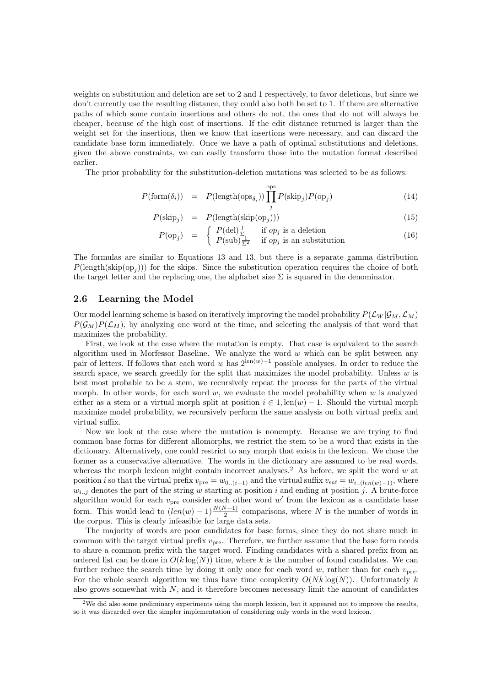weights on substitution and deletion are set to 2 and 1 respectively, to favor deletions, but since we don't currently use the resulting distance, they could also both be set to 1. If there are alternative paths of which some contain insertions and others do not, the ones that do not will always be cheaper, because of the high cost of insertions. If the edit distance returned is larger than the weight set for the insertions, then we know that insertions were necessary, and can discard the candidate base form immediately. Once we have a path of optimal substitutions and deletions, given the above constraints, we can easily transform those into the mutation format described earlier.

The prior probability for the substitution-deletion mutations was selected to be as follows:

$$
P(\text{form}(\delta_i)) = P(\text{length}(\text{ops}_{\delta_i})) \prod_j^{\text{ops}} P(\text{skip}_j) P(\text{op}_j)
$$
(14)

$$
P(\text{skip}_j) = P(\text{length}(\text{skip}(op_j))) \tag{15}
$$

$$
P(\text{op}_j) = \begin{cases} P(\text{del})\frac{1}{\Sigma} & \text{if } op_j \text{ is a deletion} \\ P(\text{sub})\frac{1}{\Sigma^2} & \text{if } op_j \text{ is an substitution} \end{cases}
$$
(16)

The formulas are similar to Equations 13 and 13, but there is a separate gamma distribution  $P(\text{length}(\text{skip}(op_j)))$  for the skips. Since the substitution operation requires the choice of both the target letter and the replacing one, the alphabet size  $\Sigma$  is squared in the denominator.

### 2.6 Learning the Model

Our model learning scheme is based on iteratively improving the model probability  $P(\mathcal{L}_W | \mathcal{G}_M, \mathcal{L}_M)$  $P(\mathcal{G}_M)P(\mathcal{L}_M)$ , by analyzing one word at the time, and selecting the analysis of that word that maximizes the probability.

First, we look at the case where the mutation is empty. That case is equivalent to the search algorithm used in Morfessor Baseline. We analyze the word  $w$  which can be split between any pair of letters. If follows that each word w has  $2^{\text{len}(w)-1}$  possible analyses. In order to reduce the search space, we search greedily for the split that maximizes the model probability. Unless  $w$  is best most probable to be a stem, we recursively repeat the process for the parts of the virtual morph. In other words, for each word  $w$ , we evaluate the model probability when  $w$  is analyzed either as a stem or a virtual morph split at position  $i \in 1$ , len $(w) - 1$ . Should the virtual morph maximize model probability, we recursively perform the same analysis on both virtual prefix and virtual suffix.

Now we look at the case where the mutation is nonempty. Because we are trying to find common base forms for different allomorphs, we restrict the stem to be a word that exists in the dictionary. Alternatively, one could restrict to any morph that exists in the lexicon. We chose the former as a conservative alternative. The words in the dictionary are assumed to be real words, whereas the morph lexicon might contain incorrect analyses.<sup>2</sup> As before, we split the word  $w$  at position *i* so that the virtual prefix  $v_{pre} = w_{0..(i-1)}$  and the virtual suffix  $v_{\text{surf}} = w_{i..(len(w)-1)}$ , where  $w_{i..j}$  denotes the part of the string w starting at position i and ending at position j. A brute-force algorithm would for each  $v_{\text{pre}}$  consider each other word w' from the lexicon as a candidate base form. This would lead to  $(len(w) - 1) \frac{N(N-1)}{2}]$  comparisons, where N is the number of words in the corpus. This is clearly infeasible for large data sets.

The majority of words are poor candidates for base forms, since they do not share much in common with the target virtual prefix  $v_{\text{pre}}$ . Therefore, we further assume that the base form needs to share a common prefix with the target word. Finding candidates with a shared prefix from an ordered list can be done in  $O(k \log(N))$  time, where k is the number of found candidates. We can further reduce the search time by doing it only once for each word w, rather than for each  $v_{\text{pre}}$ . For the whole search algorithm we thus have time complexity  $O(Nk \log(N))$ . Unfortunately k also grows somewhat with  $N$ , and it therefore becomes necessary limit the amount of candidates

 $2$ We did also some preliminary experiments using the morph lexicon, but it appeared not to improve the results, so it was discarded over the simpler implementation of considering only words in the word lexicon.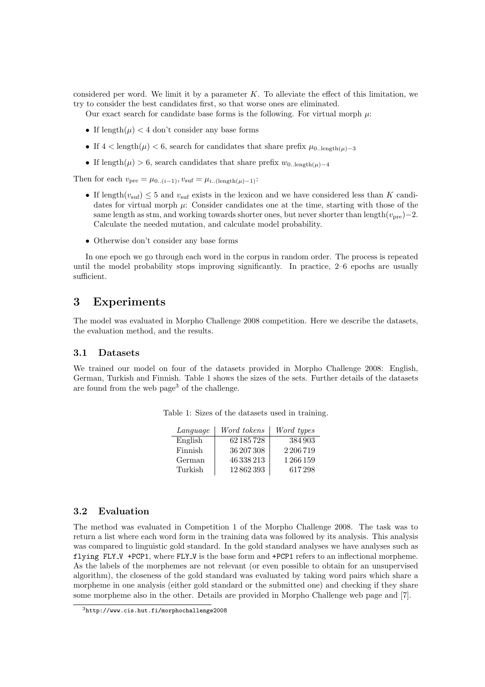considered per word. We limit it by a parameter  $K$ . To alleviate the effect of this limitation, we try to consider the best candidates first, so that worse ones are eliminated.

Our exact search for candidate base forms is the following. For virtual morph  $\mu$ :

- If length $(\mu)$  < 4 don't consider any base forms
- If  $4 < \text{length}(\mu) < 6$ , search for candidates that share prefix  $\mu_{0\ldots \text{length}(\mu)-3}$
- If length( $\mu$ ) > 6, search candidates that share prefix  $w_{0,\text{length}(\mu)-4}$

Then for each  $v_{\text{pre}} = \mu_{0..(i-1)}, v_{\text{suf}} = \mu_{i..(\text{length}(\mu)-1)}$ :

- If length $(v_{\text{surf}}) \leq 5$  and  $v_{\text{surf}}$  exists in the lexicon and we have considered less than K candidates for virtual morph  $\mu$ : Consider candidates one at the time, starting with those of the same length as stm, and working towards shorter ones, but never shorter than length $(v_{\text{pre}})-2$ . Calculate the needed mutation, and calculate model probability.
- Otherwise don't consider any base forms

In one epoch we go through each word in the corpus in random order. The process is repeated until the model probability stops improving significantly. In practice, 2–6 epochs are usually sufficient.

# 3 Experiments

The model was evaluated in Morpho Challenge 2008 competition. Here we describe the datasets, the evaluation method, and the results.

### 3.1 Datasets

We trained our model on four of the datasets provided in Morpho Challenge 2008: English, German, Turkish and Finnish. Table 1 shows the sizes of the sets. Further details of the datasets are found from the web page<sup>3</sup> of the challenge.

| Language | Word tokens | Word types |
|----------|-------------|------------|
| English  | 62 185 728  | 384903     |
| Finnish  | 36 207 308  | 2206719    |
| German   | 46 338 213  | 1266159    |
| Turkish  | 12862393    | 617298     |

Table 1: Sizes of the datasets used in training.

#### 3.2 Evaluation

The method was evaluated in Competition 1 of the Morpho Challenge 2008. The task was to return a list where each word form in the training data was followed by its analysis. This analysis was compared to linguistic gold standard. In the gold standard analyses we have analyses such as flying FLY<sub>-V</sub> +PCP1, where FLY<sub>-V</sub> is the base form and +PCP1 refers to an inflectional morpheme. As the labels of the morphemes are not relevant (or even possible to obtain for an unsupervised algorithm), the closeness of the gold standard was evaluated by taking word pairs which share a morpheme in one analysis (either gold standard or the submitted one) and checking if they share some morpheme also in the other. Details are provided in Morpho Challenge web page and [7].

<sup>3</sup>http://www.cis.hut.fi/morphochallenge2008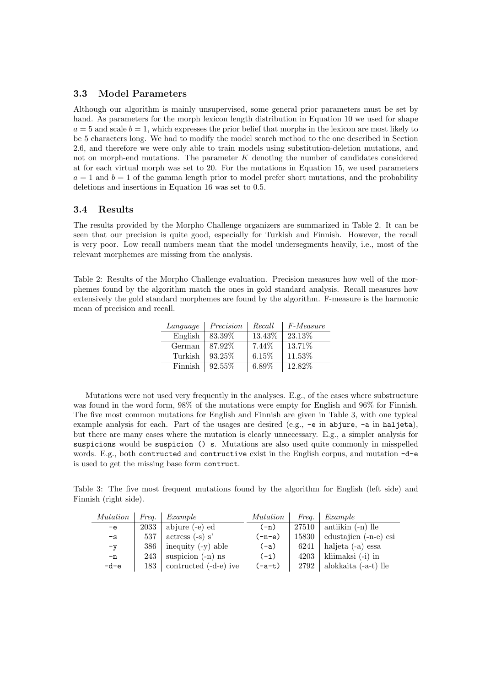## 3.3 Model Parameters

Although our algorithm is mainly unsupervised, some general prior parameters must be set by hand. As parameters for the morph lexicon length distribution in Equation 10 we used for shape  $a = 5$  and scale  $b = 1$ , which expresses the prior belief that morphs in the lexicon are most likely to be 5 characters long. We had to modify the model search method to the one described in Section 2.6, and therefore we were only able to train models using substitution-deletion mutations, and not on morph-end mutations. The parameter  $K$  denoting the number of candidates considered at for each virtual morph was set to 20. For the mutations in Equation 15, we used parameters  $a = 1$  and  $b = 1$  of the gamma length prior to model prefer short mutations, and the probability deletions and insertions in Equation 16 was set to 0.5.

### 3.4 Results

The results provided by the Morpho Challenge organizers are summarized in Table 2. It can be seen that our precision is quite good, especially for Turkish and Finnish. However, the recall is very poor. Low recall numbers mean that the model undersegments heavily, i.e., most of the relevant morphemes are missing from the analysis.

Table 2: Results of the Morpho Challenge evaluation. Precision measures how well of the morphemes found by the algorithm match the ones in gold standard analysis. Recall measures how extensively the gold standard morphemes are found by the algorithm. F-measure is the harmonic mean of precision and recall.

| Language | Precision | Recall | <i>F-Measure</i> |
|----------|-----------|--------|------------------|
| English  | 83.39\%   | 13.43% | 23.13\%          |
| German   | 87.92\%   | 7.44\% | 13.71\%          |
| Turkish  | 93.25\%   | 6.15%  | 11.53%           |
| Finnish  | 92.55%    | 6.89%  | 12.82%           |

Mutations were not used very frequently in the analyses. E.g., of the cases where substructure was found in the word form, 98% of the mutations were empty for English and 96% for Finnish. The five most common mutations for English and Finnish are given in Table 3, with one typical example analysis for each. Part of the usages are desired (e.g.,  $-e$  in abjure,  $-e$  in haljeta), but there are many cases where the mutation is clearly unnecessary. E.g., a simpler analysis for suspicions would be suspicion () s. Mutations are also used quite commonly in misspelled words. E.g., both contructed and contructive exist in the English corpus, and mutation -d-e is used to get the missing base form contruct.

Table 3: The five most frequent mutations found by the algorithm for English (left side) and Finnish (right side).

| <i>Mutation</i> | Freq. $\blacksquare$ | $\mid$ <i>Example</i>     | <i>Mutation</i> | Frea. | Example                         |
|-----------------|----------------------|---------------------------|-----------------|-------|---------------------------------|
| $-e$            | 2033                 | abjure (-e) ed            | $(-n)$          |       | $27510$ antiikin $(-n)$ lle     |
| $-\mathbf{s}$   | 537                  | $\vert$ actress $(-s)$ s' | $(-n-e)$        |       | $15830$ edustajien $(-n-e)$ esi |
| $-\mathbf{v}$   | 386                  | inequity $(-y)$ able      | $(-a)$          | 6241  | haljeta (-a) essa               |
| $-n$            | 243                  | suspicion $(-n)$ ns       | $(-i)$          |       | $4203$   kliimaksi $(-i)$ in    |
| -d-e            | 183                  | contructed (-d-e) ive     | $(-a-t)$        | 2792  | alokkaita (-a-t) lle            |